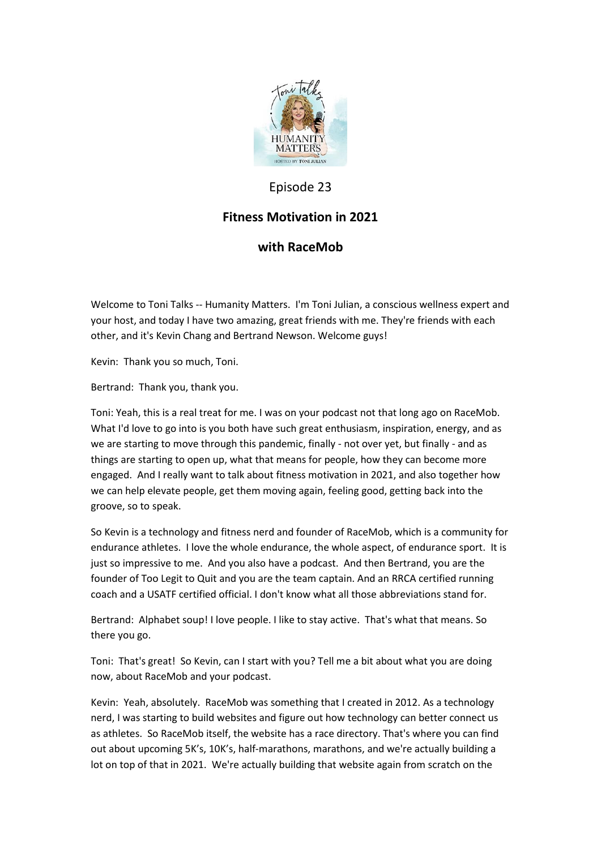

# Episode 23

# **Fitness Motivation in 2021**

## **with RaceMob**

Welcome to Toni Talks -- Humanity Matters. I'm Toni Julian, a conscious wellness expert and your host, and today I have two amazing, great friends with me. They're friends with each other, and it's Kevin Chang and Bertrand Newson. Welcome guys!

Kevin: Thank you so much, Toni.

Bertrand: Thank you, thank you.

Toni: Yeah, this is a real treat for me. I was on your podcast not that long ago on RaceMob. What I'd love to go into is you both have such great enthusiasm, inspiration, energy, and as we are starting to move through this pandemic, finally - not over yet, but finally - and as things are starting to open up, what that means for people, how they can become more engaged. And I really want to talk about fitness motivation in 2021, and also together how we can help elevate people, get them moving again, feeling good, getting back into the groove, so to speak.

So Kevin is a technology and fitness nerd and founder of RaceMob, which is a community for endurance athletes. I love the whole endurance, the whole aspect, of endurance sport. It is just so impressive to me. And you also have a podcast. And then Bertrand, you are the founder of Too Legit to Quit and you are the team captain. And an RRCA certified running coach and a USATF certified official. I don't know what all those abbreviations stand for.

Bertrand: Alphabet soup! I love people. I like to stay active. That's what that means. So there you go.

Toni: That's great! So Kevin, can I start with you? Tell me a bit about what you are doing now, about RaceMob and your podcast.

Kevin: Yeah, absolutely. RaceMob was something that I created in 2012. As a technology nerd, I was starting to build websites and figure out how technology can better connect us as athletes. So RaceMob itself, the website has a race directory. That's where you can find out about upcoming 5K's, 10K's, half-marathons, marathons, and we're actually building a lot on top of that in 2021. We're actually building that website again from scratch on the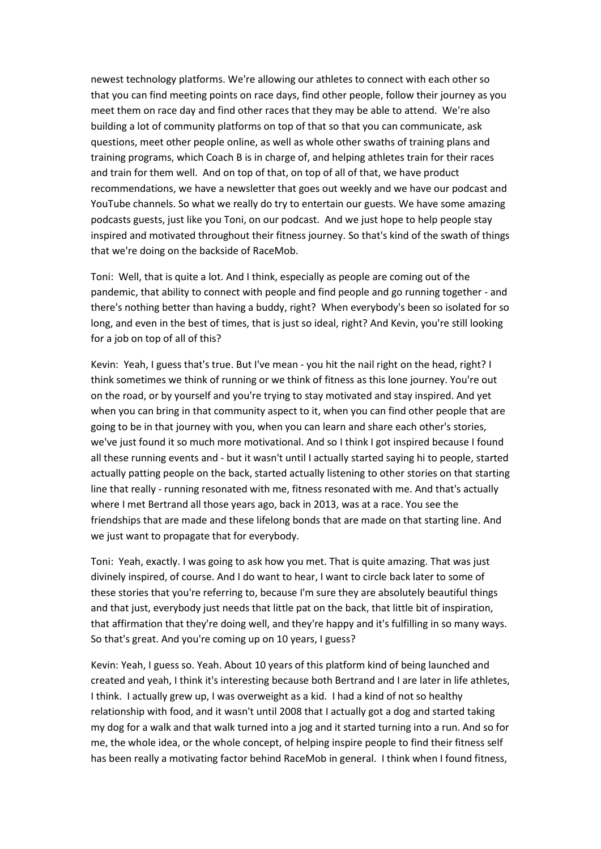newest technology platforms. We're allowing our athletes to connect with each other so that you can find meeting points on race days, find other people, follow their journey as you meet them on race day and find other races that they may be able to attend. We're also building a lot of community platforms on top of that so that you can communicate, ask questions, meet other people online, as well as whole other swaths of training plans and training programs, which Coach B is in charge of, and helping athletes train for their races and train for them well. And on top of that, on top of all of that, we have product recommendations, we have a newsletter that goes out weekly and we have our podcast and YouTube channels. So what we really do try to entertain our guests. We have some amazing podcasts guests, just like you Toni, on our podcast. And we just hope to help people stay inspired and motivated throughout their fitness journey. So that's kind of the swath of things that we're doing on the backside of RaceMob.

Toni: Well, that is quite a lot. And I think, especially as people are coming out of the pandemic, that ability to connect with people and find people and go running together - and there's nothing better than having a buddy, right? When everybody's been so isolated for so long, and even in the best of times, that is just so ideal, right? And Kevin, you're still looking for a job on top of all of this?

Kevin: Yeah, I guess that's true. But I've mean - you hit the nail right on the head, right? I think sometimes we think of running or we think of fitness as this lone journey. You're out on the road, or by yourself and you're trying to stay motivated and stay inspired. And yet when you can bring in that community aspect to it, when you can find other people that are going to be in that journey with you, when you can learn and share each other's stories, we've just found it so much more motivational. And so I think I got inspired because I found all these running events and - but it wasn't until I actually started saying hi to people, started actually patting people on the back, started actually listening to other stories on that starting line that really - running resonated with me, fitness resonated with me. And that's actually where I met Bertrand all those years ago, back in 2013, was at a race. You see the friendships that are made and these lifelong bonds that are made on that starting line. And we just want to propagate that for everybody.

Toni: Yeah, exactly. I was going to ask how you met. That is quite amazing. That was just divinely inspired, of course. And I do want to hear, I want to circle back later to some of these stories that you're referring to, because I'm sure they are absolutely beautiful things and that just, everybody just needs that little pat on the back, that little bit of inspiration, that affirmation that they're doing well, and they're happy and it's fulfilling in so many ways. So that's great. And you're coming up on 10 years, I guess?

Kevin: Yeah, I guess so. Yeah. About 10 years of this platform kind of being launched and created and yeah, I think it's interesting because both Bertrand and I are later in life athletes, I think. I actually grew up, I was overweight as a kid. I had a kind of not so healthy relationship with food, and it wasn't until 2008 that I actually got a dog and started taking my dog for a walk and that walk turned into a jog and it started turning into a run. And so for me, the whole idea, or the whole concept, of helping inspire people to find their fitness self has been really a motivating factor behind RaceMob in general. I think when I found fitness,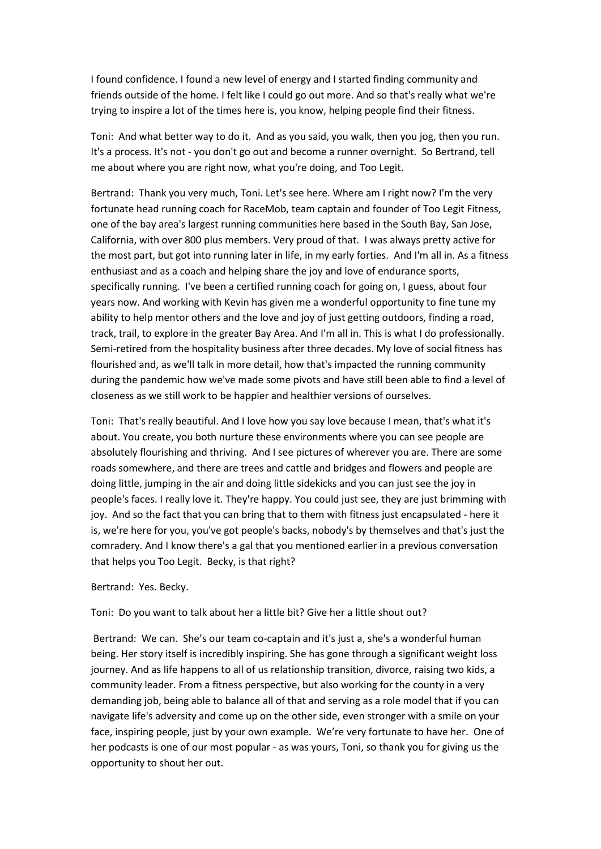I found confidence. I found a new level of energy and I started finding community and friends outside of the home. I felt like I could go out more. And so that's really what we're trying to inspire a lot of the times here is, you know, helping people find their fitness.

Toni: And what better way to do it. And as you said, you walk, then you jog, then you run. It's a process. It's not - you don't go out and become a runner overnight. So Bertrand, tell me about where you are right now, what you're doing, and Too Legit.

Bertrand: Thank you very much, Toni. Let's see here. Where am I right now? I'm the very fortunate head running coach for RaceMob, team captain and founder of Too Legit Fitness, one of the bay area's largest running communities here based in the South Bay, San Jose, California, with over 800 plus members. Very proud of that. I was always pretty active for the most part, but got into running later in life, in my early forties. And I'm all in. As a fitness enthusiast and as a coach and helping share the joy and love of endurance sports, specifically running. I've been a certified running coach for going on, I guess, about four years now. And working with Kevin has given me a wonderful opportunity to fine tune my ability to help mentor others and the love and joy of just getting outdoors, finding a road, track, trail, to explore in the greater Bay Area. And I'm all in. This is what I do professionally. Semi-retired from the hospitality business after three decades. My love of social fitness has flourished and, as we'll talk in more detail, how that's impacted the running community during the pandemic how we've made some pivots and have still been able to find a level of closeness as we still work to be happier and healthier versions of ourselves.

Toni: That's really beautiful. And I love how you say love because I mean, that's what it's about. You create, you both nurture these environments where you can see people are absolutely flourishing and thriving. And I see pictures of wherever you are. There are some roads somewhere, and there are trees and cattle and bridges and flowers and people are doing little, jumping in the air and doing little sidekicks and you can just see the joy in people's faces. I really love it. They're happy. You could just see, they are just brimming with joy. And so the fact that you can bring that to them with fitness just encapsulated - here it is, we're here for you, you've got people's backs, nobody's by themselves and that's just the comradery. And I know there's a gal that you mentioned earlier in a previous conversation that helps you Too Legit. Becky, is that right?

#### Bertrand: Yes. Becky.

### Toni: Do you want to talk about her a little bit? Give her a little shout out?

Bertrand: We can. She's our team co-captain and it's just a, she's a wonderful human being. Her story itself is incredibly inspiring. She has gone through a significant weight loss journey. And as life happens to all of us relationship transition, divorce, raising two kids, a community leader. From a fitness perspective, but also working for the county in a very demanding job, being able to balance all of that and serving as a role model that if you can navigate life's adversity and come up on the other side, even stronger with a smile on your face, inspiring people, just by your own example. We're very fortunate to have her. One of her podcasts is one of our most popular - as was yours, Toni, so thank you for giving us the opportunity to shout her out.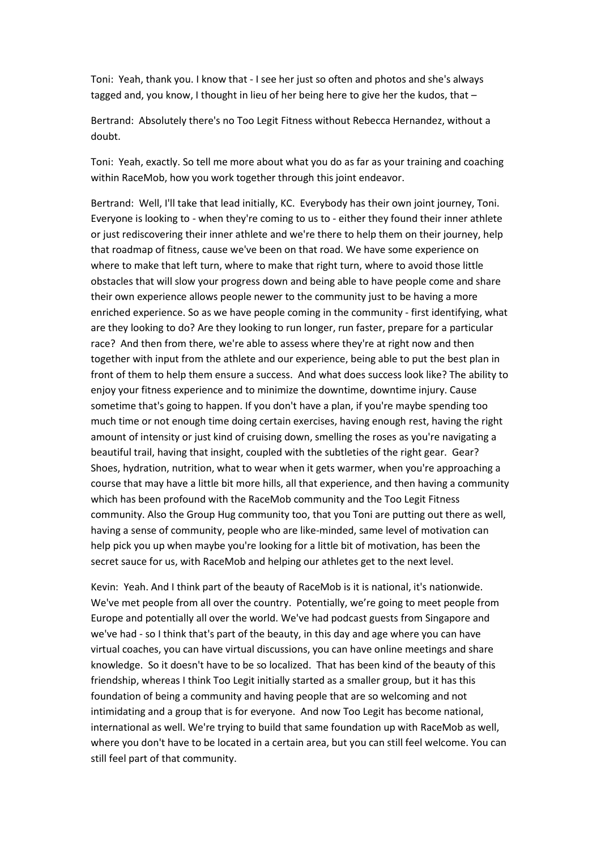Toni: Yeah, thank you. I know that - I see her just so often and photos and she's always tagged and, you know, I thought in lieu of her being here to give her the kudos, that –

Bertrand: Absolutely there's no Too Legit Fitness without Rebecca Hernandez, without a doubt.

Toni: Yeah, exactly. So tell me more about what you do as far as your training and coaching within RaceMob, how you work together through this joint endeavor.

Bertrand: Well, I'll take that lead initially, KC. Everybody has their own joint journey, Toni. Everyone is looking to - when they're coming to us to - either they found their inner athlete or just rediscovering their inner athlete and we're there to help them on their journey, help that roadmap of fitness, cause we've been on that road. We have some experience on where to make that left turn, where to make that right turn, where to avoid those little obstacles that will slow your progress down and being able to have people come and share their own experience allows people newer to the community just to be having a more enriched experience. So as we have people coming in the community - first identifying, what are they looking to do? Are they looking to run longer, run faster, prepare for a particular race? And then from there, we're able to assess where they're at right now and then together with input from the athlete and our experience, being able to put the best plan in front of them to help them ensure a success. And what does success look like? The ability to enjoy your fitness experience and to minimize the downtime, downtime injury. Cause sometime that's going to happen. If you don't have a plan, if you're maybe spending too much time or not enough time doing certain exercises, having enough rest, having the right amount of intensity or just kind of cruising down, smelling the roses as you're navigating a beautiful trail, having that insight, coupled with the subtleties of the right gear. Gear? Shoes, hydration, nutrition, what to wear when it gets warmer, when you're approaching a course that may have a little bit more hills, all that experience, and then having a community which has been profound with the RaceMob community and the Too Legit Fitness community. Also the Group Hug community too, that you Toni are putting out there as well, having a sense of community, people who are like-minded, same level of motivation can help pick you up when maybe you're looking for a little bit of motivation, has been the secret sauce for us, with RaceMob and helping our athletes get to the next level.

Kevin: Yeah. And I think part of the beauty of RaceMob is it is national, it's nationwide. We've met people from all over the country. Potentially, we're going to meet people from Europe and potentially all over the world. We've had podcast guests from Singapore and we've had - so I think that's part of the beauty, in this day and age where you can have virtual coaches, you can have virtual discussions, you can have online meetings and share knowledge. So it doesn't have to be so localized. That has been kind of the beauty of this friendship, whereas I think Too Legit initially started as a smaller group, but it has this foundation of being a community and having people that are so welcoming and not intimidating and a group that is for everyone. And now Too Legit has become national, international as well. We're trying to build that same foundation up with RaceMob as well, where you don't have to be located in a certain area, but you can still feel welcome. You can still feel part of that community.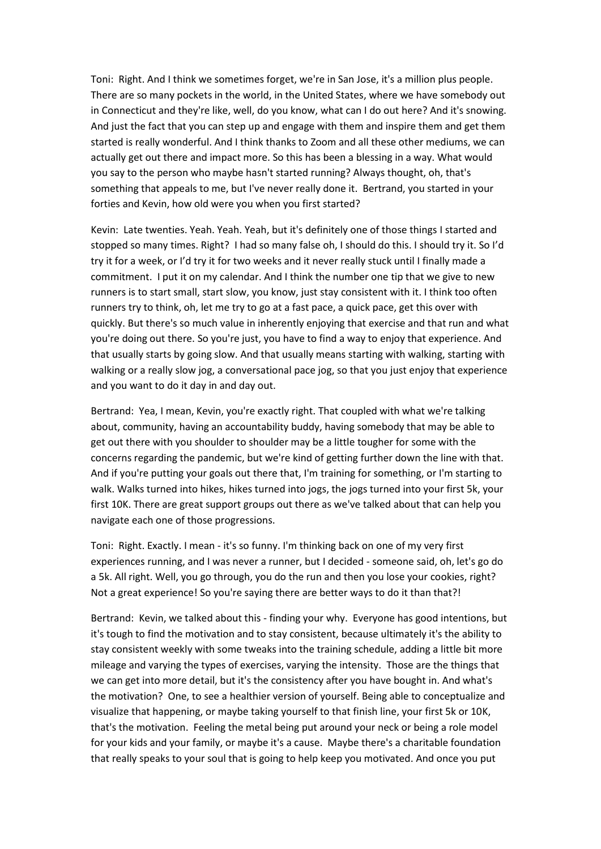Toni: Right. And I think we sometimes forget, we're in San Jose, it's a million plus people. There are so many pockets in the world, in the United States, where we have somebody out in Connecticut and they're like, well, do you know, what can I do out here? And it's snowing. And just the fact that you can step up and engage with them and inspire them and get them started is really wonderful. And I think thanks to Zoom and all these other mediums, we can actually get out there and impact more. So this has been a blessing in a way. What would you say to the person who maybe hasn't started running? Always thought, oh, that's something that appeals to me, but I've never really done it. Bertrand, you started in your forties and Kevin, how old were you when you first started?

Kevin: Late twenties. Yeah. Yeah. Yeah, but it's definitely one of those things I started and stopped so many times. Right? I had so many false oh, I should do this. I should try it. So I'd try it for a week, or I'd try it for two weeks and it never really stuck until I finally made a commitment. I put it on my calendar. And I think the number one tip that we give to new runners is to start small, start slow, you know, just stay consistent with it. I think too often runners try to think, oh, let me try to go at a fast pace, a quick pace, get this over with quickly. But there's so much value in inherently enjoying that exercise and that run and what you're doing out there. So you're just, you have to find a way to enjoy that experience. And that usually starts by going slow. And that usually means starting with walking, starting with walking or a really slow jog, a conversational pace jog, so that you just enjoy that experience and you want to do it day in and day out.

Bertrand: Yea, I mean, Kevin, you're exactly right. That coupled with what we're talking about, community, having an accountability buddy, having somebody that may be able to get out there with you shoulder to shoulder may be a little tougher for some with the concerns regarding the pandemic, but we're kind of getting further down the line with that. And if you're putting your goals out there that, I'm training for something, or I'm starting to walk. Walks turned into hikes, hikes turned into jogs, the jogs turned into your first 5k, your first 10K. There are great support groups out there as we've talked about that can help you navigate each one of those progressions.

Toni: Right. Exactly. I mean - it's so funny. I'm thinking back on one of my very first experiences running, and I was never a runner, but I decided - someone said, oh, let's go do a 5k. All right. Well, you go through, you do the run and then you lose your cookies, right? Not a great experience! So you're saying there are better ways to do it than that?!

Bertrand: Kevin, we talked about this - finding your why. Everyone has good intentions, but it's tough to find the motivation and to stay consistent, because ultimately it's the ability to stay consistent weekly with some tweaks into the training schedule, adding a little bit more mileage and varying the types of exercises, varying the intensity. Those are the things that we can get into more detail, but it's the consistency after you have bought in. And what's the motivation? One, to see a healthier version of yourself. Being able to conceptualize and visualize that happening, or maybe taking yourself to that finish line, your first 5k or 10K, that's the motivation. Feeling the metal being put around your neck or being a role model for your kids and your family, or maybe it's a cause. Maybe there's a charitable foundation that really speaks to your soul that is going to help keep you motivated. And once you put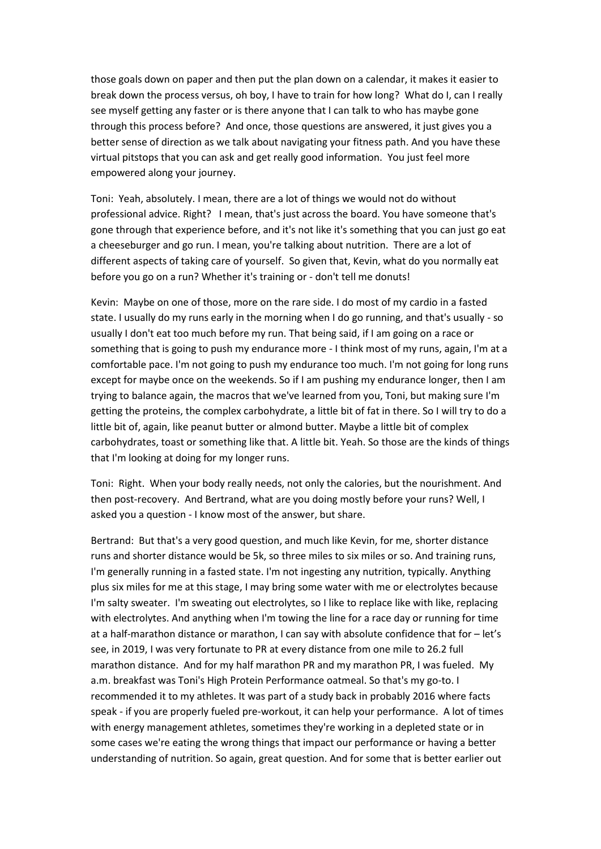those goals down on paper and then put the plan down on a calendar, it makes it easier to break down the process versus, oh boy, I have to train for how long? What do I, can I really see myself getting any faster or is there anyone that I can talk to who has maybe gone through this process before? And once, those questions are answered, it just gives you a better sense of direction as we talk about navigating your fitness path. And you have these virtual pitstops that you can ask and get really good information. You just feel more empowered along your journey.

Toni: Yeah, absolutely. I mean, there are a lot of things we would not do without professional advice. Right? I mean, that's just across the board. You have someone that's gone through that experience before, and it's not like it's something that you can just go eat a cheeseburger and go run. I mean, you're talking about nutrition. There are a lot of different aspects of taking care of yourself. So given that, Kevin, what do you normally eat before you go on a run? Whether it's training or - don't tell me donuts!

Kevin: Maybe on one of those, more on the rare side. I do most of my cardio in a fasted state. I usually do my runs early in the morning when I do go running, and that's usually - so usually I don't eat too much before my run. That being said, if I am going on a race or something that is going to push my endurance more - I think most of my runs, again, I'm at a comfortable pace. I'm not going to push my endurance too much. I'm not going for long runs except for maybe once on the weekends. So if I am pushing my endurance longer, then I am trying to balance again, the macros that we've learned from you, Toni, but making sure I'm getting the proteins, the complex carbohydrate, a little bit of fat in there. So I will try to do a little bit of, again, like peanut butter or almond butter. Maybe a little bit of complex carbohydrates, toast or something like that. A little bit. Yeah. So those are the kinds of things that I'm looking at doing for my longer runs.

Toni: Right. When your body really needs, not only the calories, but the nourishment. And then post-recovery. And Bertrand, what are you doing mostly before your runs? Well, I asked you a question - I know most of the answer, but share.

Bertrand: But that's a very good question, and much like Kevin, for me, shorter distance runs and shorter distance would be 5k, so three miles to six miles or so. And training runs, I'm generally running in a fasted state. I'm not ingesting any nutrition, typically. Anything plus six miles for me at this stage, I may bring some water with me or electrolytes because I'm salty sweater. I'm sweating out electrolytes, so I like to replace like with like, replacing with electrolytes. And anything when I'm towing the line for a race day or running for time at a half-marathon distance or marathon, I can say with absolute confidence that for – let's see, in 2019, I was very fortunate to PR at every distance from one mile to 26.2 full marathon distance. And for my half marathon PR and my marathon PR, I was fueled. My a.m. breakfast was Toni's High Protein Performance oatmeal. So that's my go-to. I recommended it to my athletes. It was part of a study back in probably 2016 where facts speak - if you are properly fueled pre-workout, it can help your performance. A lot of times with energy management athletes, sometimes they're working in a depleted state or in some cases we're eating the wrong things that impact our performance or having a better understanding of nutrition. So again, great question. And for some that is better earlier out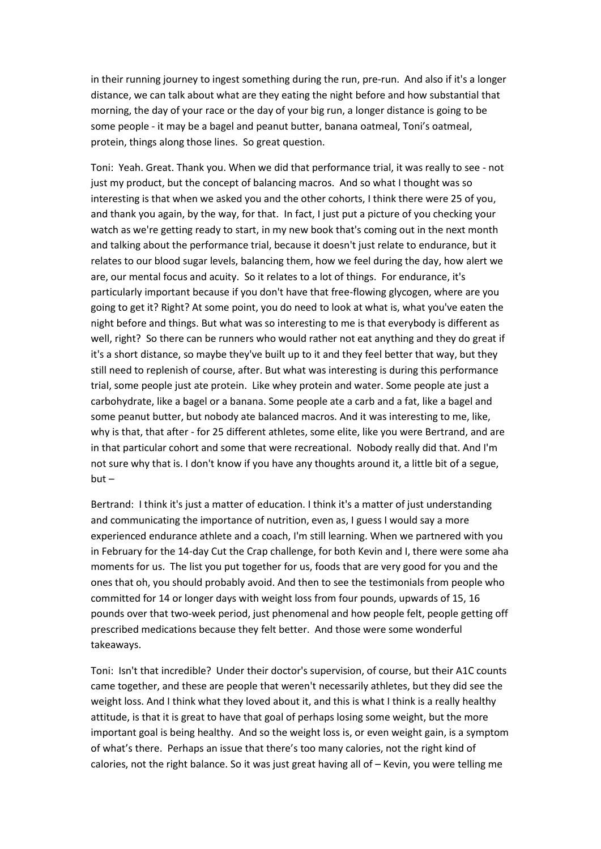in their running journey to ingest something during the run, pre-run. And also if it's a longer distance, we can talk about what are they eating the night before and how substantial that morning, the day of your race or the day of your big run, a longer distance is going to be some people - it may be a bagel and peanut butter, banana oatmeal, Toni's oatmeal, protein, things along those lines. So great question.

Toni: Yeah. Great. Thank you. When we did that performance trial, it was really to see - not just my product, but the concept of balancing macros. And so what I thought was so interesting is that when we asked you and the other cohorts, I think there were 25 of you, and thank you again, by the way, for that. In fact, I just put a picture of you checking your watch as we're getting ready to start, in my new book that's coming out in the next month and talking about the performance trial, because it doesn't just relate to endurance, but it relates to our blood sugar levels, balancing them, how we feel during the day, how alert we are, our mental focus and acuity. So it relates to a lot of things. For endurance, it's particularly important because if you don't have that free-flowing glycogen, where are you going to get it? Right? At some point, you do need to look at what is, what you've eaten the night before and things. But what was so interesting to me is that everybody is different as well, right? So there can be runners who would rather not eat anything and they do great if it's a short distance, so maybe they've built up to it and they feel better that way, but they still need to replenish of course, after. But what was interesting is during this performance trial, some people just ate protein. Like whey protein and water. Some people ate just a carbohydrate, like a bagel or a banana. Some people ate a carb and a fat, like a bagel and some peanut butter, but nobody ate balanced macros. And it was interesting to me, like, why is that, that after - for 25 different athletes, some elite, like you were Bertrand, and are in that particular cohort and some that were recreational. Nobody really did that. And I'm not sure why that is. I don't know if you have any thoughts around it, a little bit of a segue,  $but -$ 

Bertrand: I think it's just a matter of education. I think it's a matter of just understanding and communicating the importance of nutrition, even as, I guess I would say a more experienced endurance athlete and a coach, I'm still learning. When we partnered with you in February for the 14-day Cut the Crap challenge, for both Kevin and I, there were some aha moments for us. The list you put together for us, foods that are very good for you and the ones that oh, you should probably avoid. And then to see the testimonials from people who committed for 14 or longer days with weight loss from four pounds, upwards of 15, 16 pounds over that two-week period, just phenomenal and how people felt, people getting off prescribed medications because they felt better. And those were some wonderful takeaways.

Toni: Isn't that incredible? Under their doctor's supervision, of course, but their A1C counts came together, and these are people that weren't necessarily athletes, but they did see the weight loss. And I think what they loved about it, and this is what I think is a really healthy attitude, is that it is great to have that goal of perhaps losing some weight, but the more important goal is being healthy. And so the weight loss is, or even weight gain, is a symptom of what's there. Perhaps an issue that there's too many calories, not the right kind of calories, not the right balance. So it was just great having all of – Kevin, you were telling me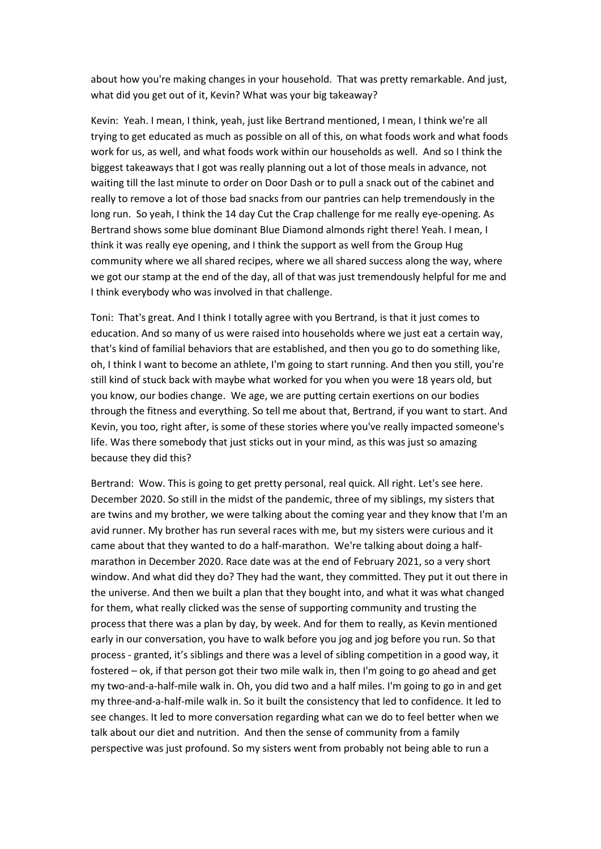about how you're making changes in your household. That was pretty remarkable. And just, what did you get out of it, Kevin? What was your big takeaway?

Kevin: Yeah. I mean, I think, yeah, just like Bertrand mentioned, I mean, I think we're all trying to get educated as much as possible on all of this, on what foods work and what foods work for us, as well, and what foods work within our households as well. And so I think the biggest takeaways that I got was really planning out a lot of those meals in advance, not waiting till the last minute to order on Door Dash or to pull a snack out of the cabinet and really to remove a lot of those bad snacks from our pantries can help tremendously in the long run. So yeah, I think the 14 day Cut the Crap challenge for me really eye-opening. As Bertrand shows some blue dominant Blue Diamond almonds right there! Yeah. I mean, I think it was really eye opening, and I think the support as well from the Group Hug community where we all shared recipes, where we all shared success along the way, where we got our stamp at the end of the day, all of that was just tremendously helpful for me and I think everybody who was involved in that challenge.

Toni: That's great. And I think I totally agree with you Bertrand, is that it just comes to education. And so many of us were raised into households where we just eat a certain way, that's kind of familial behaviors that are established, and then you go to do something like, oh, I think I want to become an athlete, I'm going to start running. And then you still, you're still kind of stuck back with maybe what worked for you when you were 18 years old, but you know, our bodies change. We age, we are putting certain exertions on our bodies through the fitness and everything. So tell me about that, Bertrand, if you want to start. And Kevin, you too, right after, is some of these stories where you've really impacted someone's life. Was there somebody that just sticks out in your mind, as this was just so amazing because they did this?

Bertrand: Wow. This is going to get pretty personal, real quick. All right. Let's see here. December 2020. So still in the midst of the pandemic, three of my siblings, my sisters that are twins and my brother, we were talking about the coming year and they know that I'm an avid runner. My brother has run several races with me, but my sisters were curious and it came about that they wanted to do a half-marathon. We're talking about doing a halfmarathon in December 2020. Race date was at the end of February 2021, so a very short window. And what did they do? They had the want, they committed. They put it out there in the universe. And then we built a plan that they bought into, and what it was what changed for them, what really clicked was the sense of supporting community and trusting the process that there was a plan by day, by week. And for them to really, as Kevin mentioned early in our conversation, you have to walk before you jog and jog before you run. So that process - granted, it's siblings and there was a level of sibling competition in a good way, it fostered – ok, if that person got their two mile walk in, then I'm going to go ahead and get my two-and-a-half-mile walk in. Oh, you did two and a half miles. I'm going to go in and get my three-and-a-half-mile walk in. So it built the consistency that led to confidence. It led to see changes. It led to more conversation regarding what can we do to feel better when we talk about our diet and nutrition. And then the sense of community from a family perspective was just profound. So my sisters went from probably not being able to run a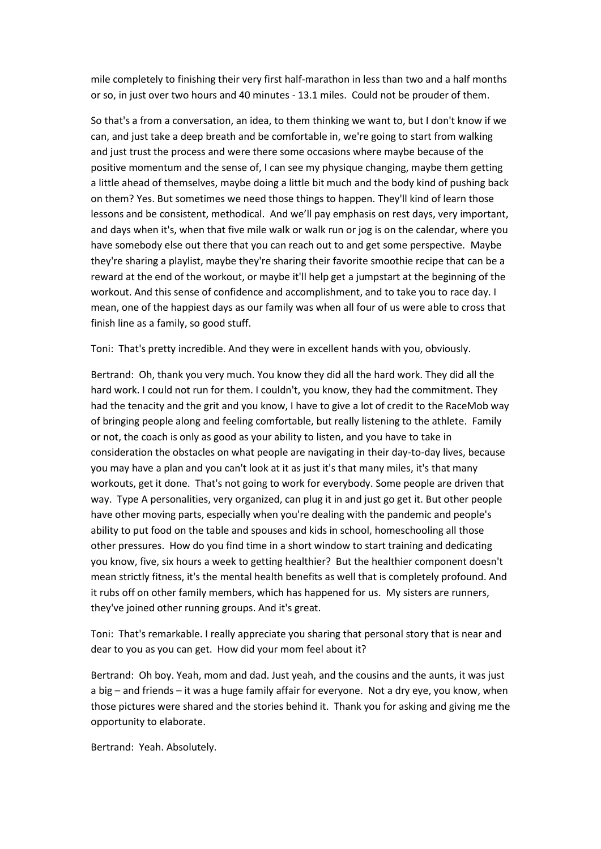mile completely to finishing their very first half-marathon in less than two and a half months or so, in just over two hours and 40 minutes - 13.1 miles. Could not be prouder of them.

So that's a from a conversation, an idea, to them thinking we want to, but I don't know if we can, and just take a deep breath and be comfortable in, we're going to start from walking and just trust the process and were there some occasions where maybe because of the positive momentum and the sense of, I can see my physique changing, maybe them getting a little ahead of themselves, maybe doing a little bit much and the body kind of pushing back on them? Yes. But sometimes we need those things to happen. They'll kind of learn those lessons and be consistent, methodical. And we'll pay emphasis on rest days, very important, and days when it's, when that five mile walk or walk run or jog is on the calendar, where you have somebody else out there that you can reach out to and get some perspective. Maybe they're sharing a playlist, maybe they're sharing their favorite smoothie recipe that can be a reward at the end of the workout, or maybe it'll help get a jumpstart at the beginning of the workout. And this sense of confidence and accomplishment, and to take you to race day. I mean, one of the happiest days as our family was when all four of us were able to cross that finish line as a family, so good stuff.

Toni: That's pretty incredible. And they were in excellent hands with you, obviously.

Bertrand: Oh, thank you very much. You know they did all the hard work. They did all the hard work. I could not run for them. I couldn't, you know, they had the commitment. They had the tenacity and the grit and you know, I have to give a lot of credit to the RaceMob way of bringing people along and feeling comfortable, but really listening to the athlete. Family or not, the coach is only as good as your ability to listen, and you have to take in consideration the obstacles on what people are navigating in their day-to-day lives, because you may have a plan and you can't look at it as just it's that many miles, it's that many workouts, get it done. That's not going to work for everybody. Some people are driven that way. Type A personalities, very organized, can plug it in and just go get it. But other people have other moving parts, especially when you're dealing with the pandemic and people's ability to put food on the table and spouses and kids in school, homeschooling all those other pressures. How do you find time in a short window to start training and dedicating you know, five, six hours a week to getting healthier? But the healthier component doesn't mean strictly fitness, it's the mental health benefits as well that is completely profound. And it rubs off on other family members, which has happened for us. My sisters are runners, they've joined other running groups. And it's great.

Toni: That's remarkable. I really appreciate you sharing that personal story that is near and dear to you as you can get. How did your mom feel about it?

Bertrand: Oh boy. Yeah, mom and dad. Just yeah, and the cousins and the aunts, it was just a big – and friends – it was a huge family affair for everyone. Not a dry eye, you know, when those pictures were shared and the stories behind it. Thank you for asking and giving me the opportunity to elaborate.

Bertrand: Yeah. Absolutely.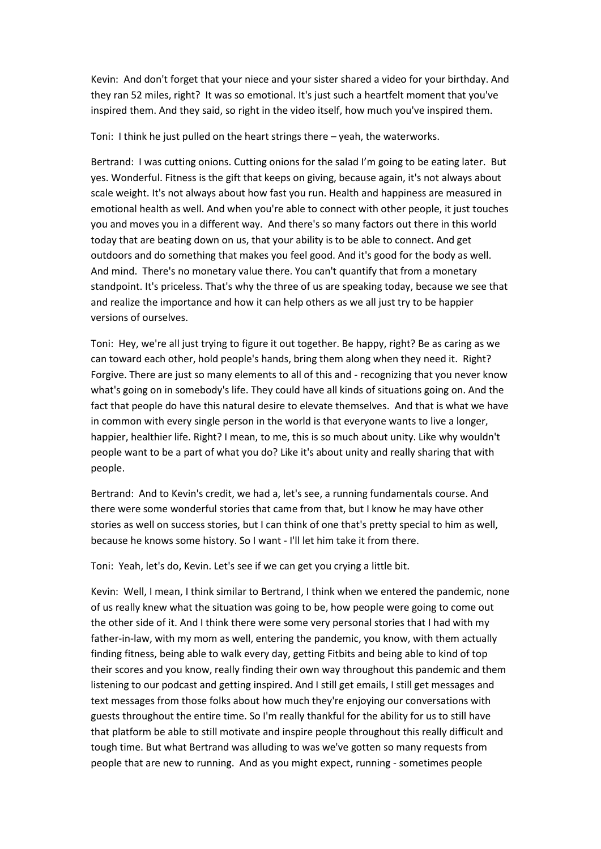Kevin: And don't forget that your niece and your sister shared a video for your birthday. And they ran 52 miles, right? It was so emotional. It's just such a heartfelt moment that you've inspired them. And they said, so right in the video itself, how much you've inspired them.

Toni: I think he just pulled on the heart strings there – yeah, the waterworks.

Bertrand: I was cutting onions. Cutting onions for the salad I'm going to be eating later. But yes. Wonderful. Fitness is the gift that keeps on giving, because again, it's not always about scale weight. It's not always about how fast you run. Health and happiness are measured in emotional health as well. And when you're able to connect with other people, it just touches you and moves you in a different way. And there's so many factors out there in this world today that are beating down on us, that your ability is to be able to connect. And get outdoors and do something that makes you feel good. And it's good for the body as well. And mind. There's no monetary value there. You can't quantify that from a monetary standpoint. It's priceless. That's why the three of us are speaking today, because we see that and realize the importance and how it can help others as we all just try to be happier versions of ourselves.

Toni: Hey, we're all just trying to figure it out together. Be happy, right? Be as caring as we can toward each other, hold people's hands, bring them along when they need it. Right? Forgive. There are just so many elements to all of this and - recognizing that you never know what's going on in somebody's life. They could have all kinds of situations going on. And the fact that people do have this natural desire to elevate themselves. And that is what we have in common with every single person in the world is that everyone wants to live a longer, happier, healthier life. Right? I mean, to me, this is so much about unity. Like why wouldn't people want to be a part of what you do? Like it's about unity and really sharing that with people.

Bertrand: And to Kevin's credit, we had a, let's see, a running fundamentals course. And there were some wonderful stories that came from that, but I know he may have other stories as well on success stories, but I can think of one that's pretty special to him as well, because he knows some history. So I want - I'll let him take it from there.

Toni: Yeah, let's do, Kevin. Let's see if we can get you crying a little bit.

Kevin: Well, I mean, I think similar to Bertrand, I think when we entered the pandemic, none of us really knew what the situation was going to be, how people were going to come out the other side of it. And I think there were some very personal stories that I had with my father-in-law, with my mom as well, entering the pandemic, you know, with them actually finding fitness, being able to walk every day, getting Fitbits and being able to kind of top their scores and you know, really finding their own way throughout this pandemic and them listening to our podcast and getting inspired. And I still get emails, I still get messages and text messages from those folks about how much they're enjoying our conversations with guests throughout the entire time. So I'm really thankful for the ability for us to still have that platform be able to still motivate and inspire people throughout this really difficult and tough time. But what Bertrand was alluding to was we've gotten so many requests from people that are new to running. And as you might expect, running - sometimes people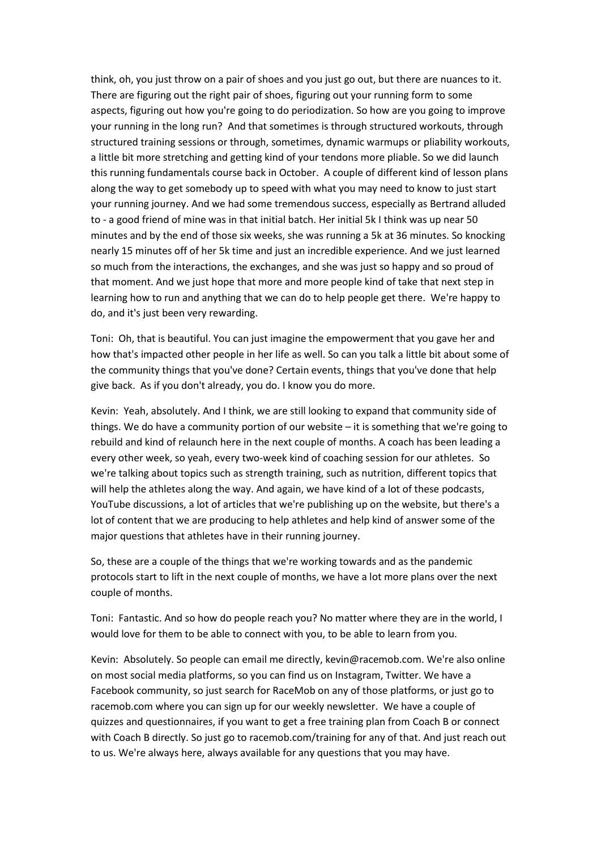think, oh, you just throw on a pair of shoes and you just go out, but there are nuances to it. There are figuring out the right pair of shoes, figuring out your running form to some aspects, figuring out how you're going to do periodization. So how are you going to improve your running in the long run? And that sometimes is through structured workouts, through structured training sessions or through, sometimes, dynamic warmups or pliability workouts, a little bit more stretching and getting kind of your tendons more pliable. So we did launch this running fundamentals course back in October. A couple of different kind of lesson plans along the way to get somebody up to speed with what you may need to know to just start your running journey. And we had some tremendous success, especially as Bertrand alluded to - a good friend of mine was in that initial batch. Her initial 5k I think was up near 50 minutes and by the end of those six weeks, she was running a 5k at 36 minutes. So knocking nearly 15 minutes off of her 5k time and just an incredible experience. And we just learned so much from the interactions, the exchanges, and she was just so happy and so proud of that moment. And we just hope that more and more people kind of take that next step in learning how to run and anything that we can do to help people get there. We're happy to do, and it's just been very rewarding.

Toni: Oh, that is beautiful. You can just imagine the empowerment that you gave her and how that's impacted other people in her life as well. So can you talk a little bit about some of the community things that you've done? Certain events, things that you've done that help give back. As if you don't already, you do. I know you do more.

Kevin: Yeah, absolutely. And I think, we are still looking to expand that community side of things. We do have a community portion of our website – it is something that we're going to rebuild and kind of relaunch here in the next couple of months. A coach has been leading a every other week, so yeah, every two-week kind of coaching session for our athletes. So we're talking about topics such as strength training, such as nutrition, different topics that will help the athletes along the way. And again, we have kind of a lot of these podcasts, YouTube discussions, a lot of articles that we're publishing up on the website, but there's a lot of content that we are producing to help athletes and help kind of answer some of the major questions that athletes have in their running journey.

So, these are a couple of the things that we're working towards and as the pandemic protocols start to lift in the next couple of months, we have a lot more plans over the next couple of months.

Toni: Fantastic. And so how do people reach you? No matter where they are in the world, I would love for them to be able to connect with you, to be able to learn from you.

Kevin: Absolutely. So people can email me directly, kevin@racemob.com. We're also online on most social media platforms, so you can find us on Instagram, Twitter. We have a Facebook community, so just search for RaceMob on any of those platforms, or just go to racemob.com where you can sign up for our weekly newsletter. We have a couple of quizzes and questionnaires, if you want to get a free training plan from Coach B or connect with Coach B directly. So just go to racemob.com/training for any of that. And just reach out to us. We're always here, always available for any questions that you may have.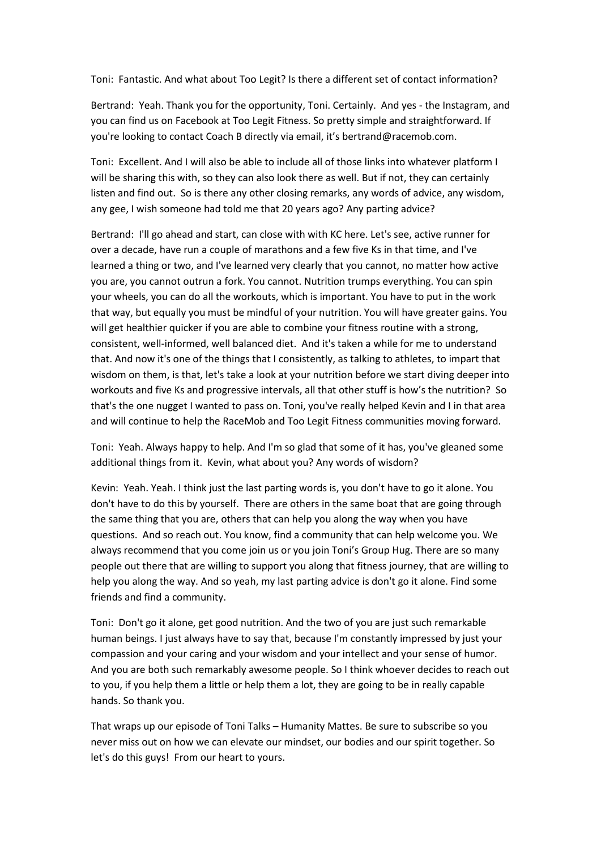Toni: Fantastic. And what about Too Legit? Is there a different set of contact information?

Bertrand: Yeah. Thank you for the opportunity, Toni. Certainly. And yes - the Instagram, and you can find us on Facebook at Too Legit Fitness. So pretty simple and straightforward. If you're looking to contact Coach B directly via email, it's bertrand@racemob.com.

Toni: Excellent. And I will also be able to include all of those links into whatever platform I will be sharing this with, so they can also look there as well. But if not, they can certainly listen and find out. So is there any other closing remarks, any words of advice, any wisdom, any gee, I wish someone had told me that 20 years ago? Any parting advice?

Bertrand: I'll go ahead and start, can close with with KC here. Let's see, active runner for over a decade, have run a couple of marathons and a few five Ks in that time, and I've learned a thing or two, and I've learned very clearly that you cannot, no matter how active you are, you cannot outrun a fork. You cannot. Nutrition trumps everything. You can spin your wheels, you can do all the workouts, which is important. You have to put in the work that way, but equally you must be mindful of your nutrition. You will have greater gains. You will get healthier quicker if you are able to combine your fitness routine with a strong. consistent, well-informed, well balanced diet. And it's taken a while for me to understand that. And now it's one of the things that I consistently, as talking to athletes, to impart that wisdom on them, is that, let's take a look at your nutrition before we start diving deeper into workouts and five Ks and progressive intervals, all that other stuff is how's the nutrition? So that's the one nugget I wanted to pass on. Toni, you've really helped Kevin and I in that area and will continue to help the RaceMob and Too Legit Fitness communities moving forward.

Toni: Yeah. Always happy to help. And I'm so glad that some of it has, you've gleaned some additional things from it. Kevin, what about you? Any words of wisdom?

Kevin: Yeah. Yeah. I think just the last parting words is, you don't have to go it alone. You don't have to do this by yourself. There are others in the same boat that are going through the same thing that you are, others that can help you along the way when you have questions. And so reach out. You know, find a community that can help welcome you. We always recommend that you come join us or you join Toni's Group Hug. There are so many people out there that are willing to support you along that fitness journey, that are willing to help you along the way. And so yeah, my last parting advice is don't go it alone. Find some friends and find a community.

Toni: Don't go it alone, get good nutrition. And the two of you are just such remarkable human beings. I just always have to say that, because I'm constantly impressed by just your compassion and your caring and your wisdom and your intellect and your sense of humor. And you are both such remarkably awesome people. So I think whoever decides to reach out to you, if you help them a little or help them a lot, they are going to be in really capable hands. So thank you.

That wraps up our episode of Toni Talks – Humanity Mattes. Be sure to subscribe so you never miss out on how we can elevate our mindset, our bodies and our spirit together. So let's do this guys! From our heart to yours.